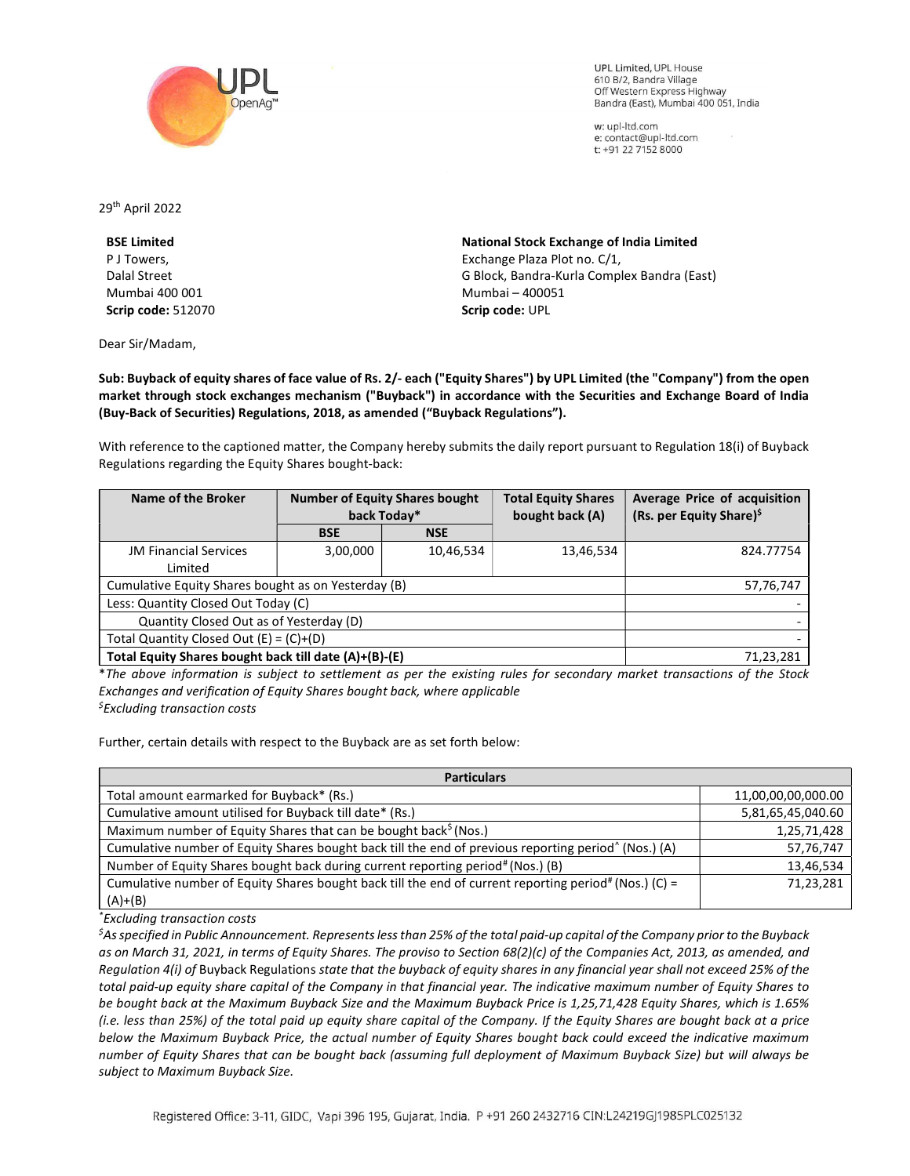

**UPL Limited. UPL House** 610 B/2, Bandra Village Off Western Express Highway Bandra (East), Mumbai 400 051, India

w: upl-ltd.com e: contact@upl-ltd.com t: +91 22 7152 8000

29th April 2022

BSE Limited P J Towers, Dalal Street Mumbai 400 001 Scrip code: 512070

Dear Sir/Madam,

National Stock Exchange of India Limited Exchange Plaza Plot no. C/1, G Block, Bandra-Kurla Complex Bandra (East) Mumbai – 400051 Scrip code: UPL

Sub: Buyback of equity shares of face value of Rs. 2/- each ("Equity Shares") by UPL Limited (the "Company") from the open market through stock exchanges mechanism ("Buyback") in accordance with the Securities and Exchange Board of India (Buy-Back of Securities) Regulations, 2018, as amended ("Buyback Regulations").

With reference to the captioned matter, the Company hereby submits the daily report pursuant to Regulation 18(i) of Buyback Regulations regarding the Equity Shares bought-back:

| Name of the Broker                                    | <b>Number of Equity Shares bought</b><br>back Today* |            | <b>Total Equity Shares</b><br>bought back (A) | Average Price of acquisition<br>(Rs. per Equity Share) <sup>\$</sup> |
|-------------------------------------------------------|------------------------------------------------------|------------|-----------------------------------------------|----------------------------------------------------------------------|
|                                                       | <b>BSE</b>                                           | <b>NSE</b> |                                               |                                                                      |
| <b>JM Financial Services</b>                          | 3,00,000                                             | 10,46,534  | 13,46,534                                     | 824.77754                                                            |
| Limited                                               |                                                      |            |                                               |                                                                      |
| Cumulative Equity Shares bought as on Yesterday (B)   |                                                      |            |                                               | 57,76,747                                                            |
| Less: Quantity Closed Out Today (C)                   |                                                      |            |                                               |                                                                      |
| Quantity Closed Out as of Yesterday (D)               |                                                      |            |                                               |                                                                      |
| Total Quantity Closed Out $(E) = (C)+(D)$             |                                                      |            |                                               |                                                                      |
| Total Equity Shares bought back till date (A)+(B)-(E) |                                                      |            |                                               | 71,23,281                                                            |

\*The above information is subject to settlement as per the existing rules for secondary market transactions of the Stock Exchanges and verification of Equity Shares bought back, where applicable  $<sup>5</sup>$ Excluding transaction costs</sup>

Further, certain details with respect to the Buyback are as set forth below:

| <b>Particulars</b>                                                                                               |                    |  |  |  |
|------------------------------------------------------------------------------------------------------------------|--------------------|--|--|--|
| Total amount earmarked for Buyback* (Rs.)                                                                        | 11,00,00,00,000.00 |  |  |  |
| Cumulative amount utilised for Buyback till date* (Rs.)                                                          | 5,81,65,45,040.60  |  |  |  |
| Maximum number of Equity Shares that can be bought back <sup>\$</sup> (Nos.)                                     | 1,25,71,428        |  |  |  |
| Cumulative number of Equity Shares bought back till the end of previous reporting period <sup>^</sup> (Nos.) (A) | 57,76,747          |  |  |  |
| Number of Equity Shares bought back during current reporting period# (Nos.) (B)                                  | 13,46,534          |  |  |  |
| Cumulative number of Equity Shares bought back till the end of current reporting period# (Nos.) (C) =            | 71,23,281          |  |  |  |
| $(A)+(B)$                                                                                                        |                    |  |  |  |

\*Excluding transaction costs

 ${}^5$ As specified in Public Announcement. Represents less than 25% of the total paid-up capital of the Company prior to the Buyback as on March 31, 2021, in terms of Equity Shares. The proviso to Section 68(2)(c) of the Companies Act, 2013, as amended, and Regulation 4(i) of Buyback Regulations state that the buyback of equity shares in any financial year shall not exceed 25% of the total paid-up equity share capital of the Company in that financial year. The indicative maximum number of Equity Shares to be bought back at the Maximum Buyback Size and the Maximum Buyback Price is 1,25,71,428 Equity Shares, which is 1.65% (i.e. less than 25%) of the total paid up equity share capital of the Company. If the Equity Shares are bought back at a price below the Maximum Buyback Price, the actual number of Equity Shares bought back could exceed the indicative maximum number of Equity Shares that can be bought back (assuming full deployment of Maximum Buyback Size) but will always be subject to Maximum Buyback Size.